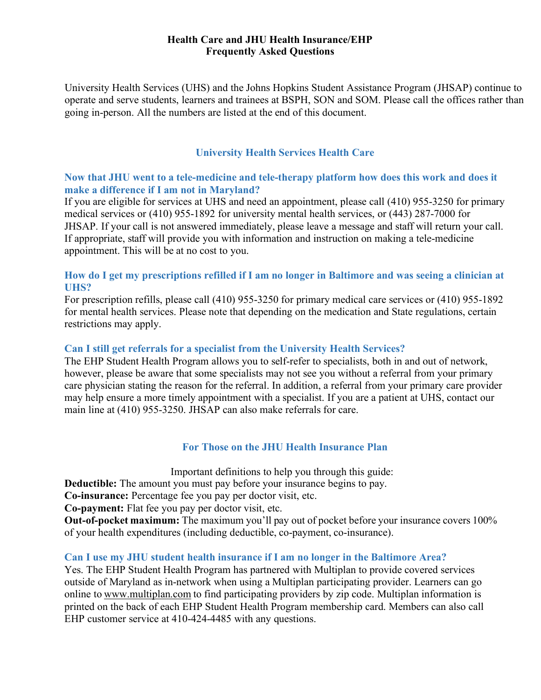### **Health Care and JHU Health Insurance/EHP Frequently Asked Questions**

University Health Services (UHS) and the Johns Hopkins Student Assistance Program (JHSAP) continue to operate and serve students, learners and trainees at BSPH, SON and SOM. Please call the offices rather than going in-person. All the numbers are listed at the end of this document.

# **University Health Services Health Care**

## **Now that JHU went to a tele-medicine and tele-therapy platform how does this work and does it make a difference if I am not in Maryland?**

If you are eligible for services at UHS and need an appointment, please call (410) 955-3250 for primary medical services or (410) 955-1892 for university mental health services, or (443) 287-7000 for JHSAP. If your call is not answered immediately, please leave a message and staff will return your call. If appropriate, staff will provide you with information and instruction on making a tele-medicine appointment. This will be at no cost to you.

## **How do I get my prescriptions refilled if I am no longer in Baltimore and was seeing a clinician at UHS?**

For prescription refills, please call (410) 955-3250 for primary medical care services or (410) 955-1892 for mental health services. Please note that depending on the medication and State regulations, certain restrictions may apply.

### **Can I still get referrals for a specialist from the University Health Services?**

The EHP Student Health Program allows you to self-refer to specialists, both in and out of network, however, please be aware that some specialists may not see you without a referral from your primary care physician stating the reason for the referral. In addition, a referral from your primary care provider may help ensure a more timely appointment with a specialist. If you are a patient at UHS, contact our main line at (410) 955-3250. JHSAP can also make referrals for care.

# **For Those on the JHU Health Insurance Plan**

Important definitions to help you through this guide:

**Deductible:** The amount you must pay before your insurance begins to pay.

**Co-insurance:** Percentage fee you pay per doctor visit, etc.

**Co-payment:** Flat fee you pay per doctor visit, etc.

**Out-of-pocket maximum:** The maximum you'll pay out of pocket before your insurance covers 100% of your health expenditures (including deductible, co-payment, co-insurance).

### **Can I use my JHU student health insurance if I am no longer in the Baltimore Area?**

Yes. The EHP Student Health Program has partnered with Multiplan to provide covered services outside of Maryland as in-network when using a Multiplan participating provider. Learners can go online to www.multiplan.com to find participating providers by zip code. Multiplan information is printed on the back of each EHP Student Health Program membership card. Members can also call EHP customer service at 410-424-4485 with any questions.